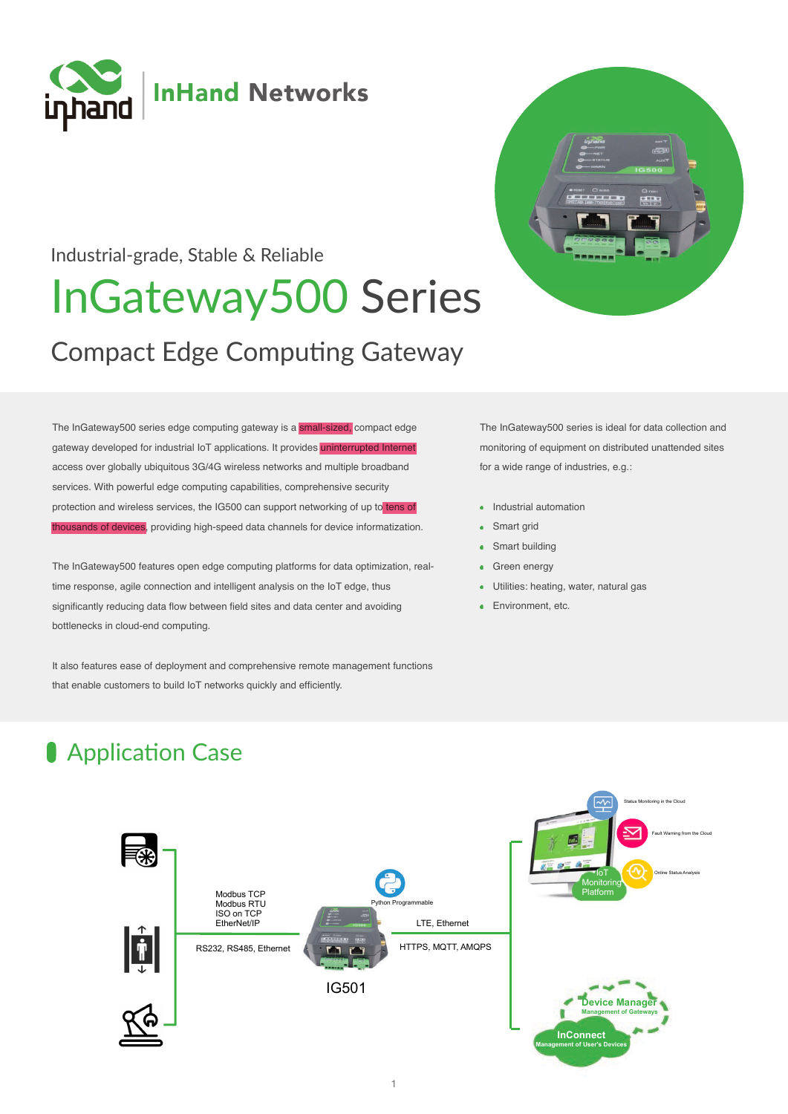

### Industrial-grade, Stable & Reliable

# **InGateway500 Series**

# **Compact Edge Computing Gateway**

The InGateway500 series edge computing gateway is a small-sized, compact edge gateway developed for industrial IoT applications. It provides uninterrupted Internet access over globally ubiquitous 3G/4G wireless networks and multiple broadband services. With powerful edge computing capabilities, comprehensive security protection and wireless services, the IG500 can support networking of up to tens of thousands of devices, providing high-speed data channels for device informatization.

The InGateway500 features open edge computing platforms for data optimization, realtime response, agile connection and intelligent analysis on the IoT edge, thus significantly reducing data flow between field sites and data center and avoiding bottlenecks in cloud-end computing.

It also features ease of deployment and comprehensive remote management functions that enable customers to build IoT networks quickly and efficiently.

The InGateway500 series is ideal for data collection and monitoring of equipment on distributed unattended sites for a wide range of industries, e.g.:

- Industrial automation
- Smart grid
- Smart building
- Green energy  $\bullet$
- Utilities: heating, water, natural gas
- Environment etc.

## Application Case

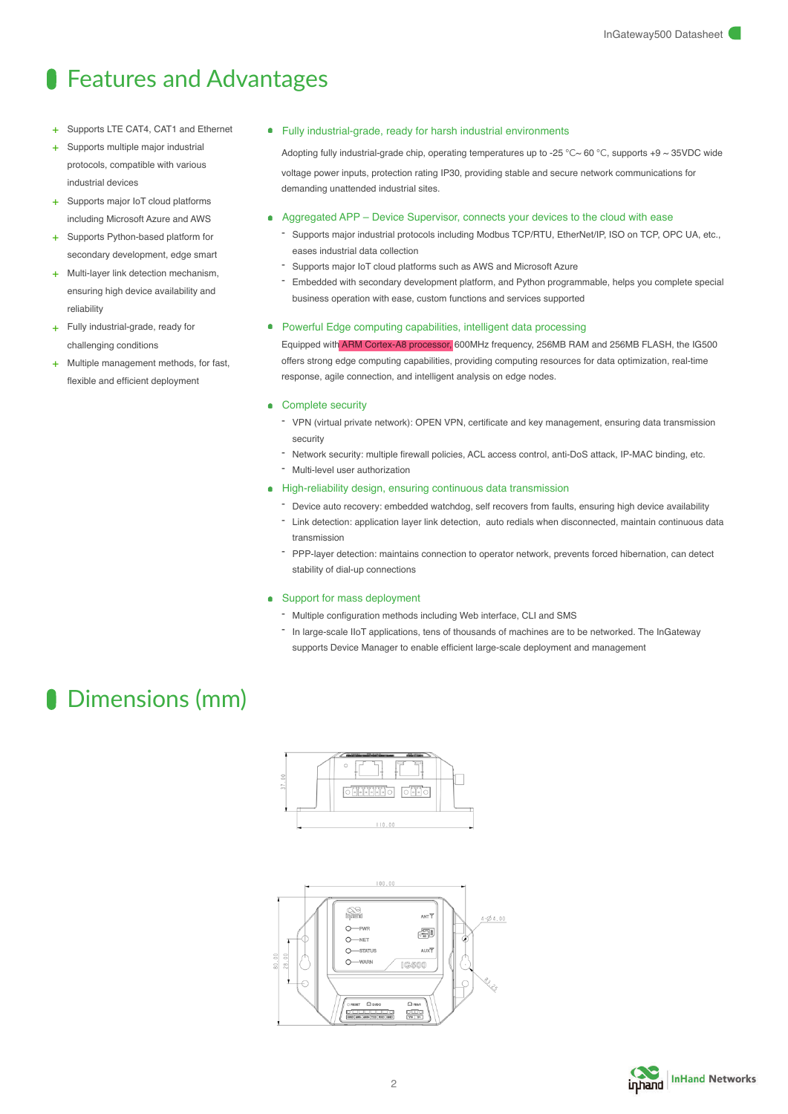### **S** Features and Advantages

- Supports LTE CAT4, CAT1 and Ethernet
- Supports multiple major industrial protocols, compatible with various industrial devices
- + Supports major IoT cloud platforms including Microsoft Azure and AWS
- + Supports Python-based platform for secondary development, edge smart
- + Multi-layer link detection mechanism, ensuring high device availability and reliability
- + Fully industrial-grade, ready for challenging conditions
- + Multiple management methods, for fast, flexible and efficient deployment

Fully industrial-grade, ready for harsh industrial environments

Adopting fully industrial-grade chip, operating temperatures up to -25 °C~ 60 °C, supports +9 ~ 35VDC wide voltage power inputs, protection rating IP30, providing stable and secure network communications for demanding unattended industrial sites.

- ò. Aggregated APP – Device Supervisor, connects your devices to the cloud with ease
	- Supports major industrial protocols including Modbus TCP/RTU, EtherNet/IP, ISO on TCP, OPC UA, etc., eases industrial data collection
	- Supports major IoT cloud platforms such as AWS and Microsoft Azure
	- Embedded with secondary development platform, and Python programmable, helps you complete special business operation with ease, custom functions and services supported

#### Powerful Edge computing capabilities, intelligent data processing

Equipped with ARM Cortex-A8 processor, 600MHz frequency, 256MB RAM and 256MB FLASH, the IG500 offers strong edge computing capabilities, providing computing resources for data optimization, real-time response, agile connection, and intelligent analysis on edge nodes.

#### Complete security ò

- VPN (virtual private network): OPEN VPN, certificate and key management, ensuring data transmission security
- Network security: multiple firewall policies, ACL access control, anti-DoS attack, IP-MAC binding, etc.
- Multi-level user authorization
- High-reliability design, ensuring continuous data transmission
	- Device auto recovery: embedded watchdog, self recovers from faults, ensuring high device availability
	- Link detection: application layer link detection, auto redials when disconnected, maintain continuous data transmission
	- PPP-layer detection: maintains connection to operator network, prevents forced hibernation, can detect stability of dial-up connections

#### • Support for mass deployment

- Multiple configuration methods including Web interface, CLI and SMS
- In large-scale IIoT applications, tens of thousands of machines are to be networked. The InGateway supports Device Manager to enable efficient large-scale deployment and management

### **C.** Dimensions (mm)





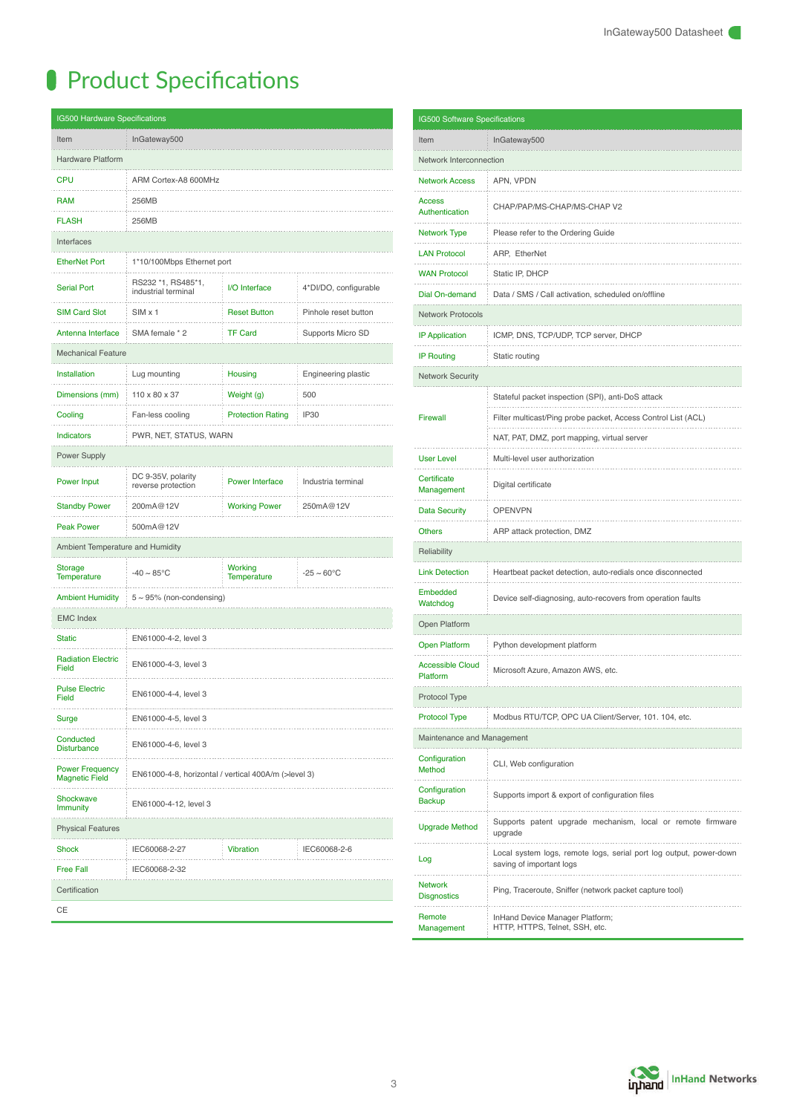# **Product Specifications**

| <b>IG500 Hardware Specifications</b>            |                                                      |                                      |                            |  |  |
|-------------------------------------------------|------------------------------------------------------|--------------------------------------|----------------------------|--|--|
| InGateway500<br>Item                            |                                                      |                                      |                            |  |  |
| <b>Hardware Platform</b>                        |                                                      |                                      |                            |  |  |
| <b>CPU</b>                                      | ARM Cortex-A8 600MHz                                 |                                      |                            |  |  |
| <b>RAM</b>                                      | 256MB                                                |                                      |                            |  |  |
| <b>FLASH</b>                                    | 256MB                                                |                                      |                            |  |  |
| Interfaces                                      |                                                      |                                      |                            |  |  |
| <b>EtherNet Port</b>                            | 1*10/100Mbps Ethernet port                           |                                      |                            |  |  |
| <b>Serial Port</b>                              | RS232 *1, RS485*1,<br>industrial terminal            | I/O Interface                        | 4*DI/DO, configurable      |  |  |
| <b>SIM Card Slot</b>                            | SIM <sub>x1</sub>                                    | <b>Reset Button</b>                  | Pinhole reset button       |  |  |
| Antenna Interface                               | SMA female * 2                                       | <b>TF Card</b>                       | Supports Micro SD          |  |  |
| <b>Mechanical Feature</b>                       |                                                      |                                      |                            |  |  |
| <b>Installation</b>                             | Lug mounting                                         | Housing                              | <b>Engineering plastic</b> |  |  |
| Dimensions (mm)                                 | 110 x 80 x 37                                        | Weight (g)                           | 500                        |  |  |
| Cooling                                         | Fan-less cooling                                     | <b>Protection Rating</b>             | <b>IP30</b>                |  |  |
| <b>Indicators</b>                               | PWR, NET, STATUS, WARN                               |                                      |                            |  |  |
| Power Supply                                    |                                                      |                                      |                            |  |  |
| <b>Power Input</b>                              | DC 9-35V, polarity<br>reverse protection             | <b>Power Interface</b>               | Industria terminal         |  |  |
| <b>Standby Power</b>                            | 200mA@12V                                            | <b>Working Power</b>                 | 250mA@12V                  |  |  |
| <b>Peak Power</b>                               | 500mA@12V                                            |                                      |                            |  |  |
| Ambient Temperature and Humidity                |                                                      |                                      |                            |  |  |
| Storage<br><b>Temperature</b>                   | $-40 \sim 85^{\circ}$ C                              | <b>Working</b><br><b>Temperature</b> | $-25 \sim 60^{\circ}$ C    |  |  |
| <b>Ambient Humidity</b>                         | $5 \sim 95\%$ (non-condensing)                       |                                      |                            |  |  |
| <b>EMC Index</b>                                |                                                      |                                      |                            |  |  |
| <b>Static</b>                                   | EN61000-4-2, level 3                                 |                                      |                            |  |  |
| <b>Radiation Electric</b><br>Field              | EN61000-4-3, level 3                                 |                                      |                            |  |  |
| <b>Pulse Electric</b><br>Field                  | EN61000-4-4, level 3                                 |                                      |                            |  |  |
| Surge                                           | EN61000-4-5, level 3                                 |                                      |                            |  |  |
| Conducted<br><b>Disturbance</b>                 | EN61000-4-6, level 3                                 |                                      |                            |  |  |
| <b>Power Frequency</b><br><b>Magnetic Field</b> | EN61000-4-8, horizontal / vertical 400A/m (>level 3) |                                      |                            |  |  |
| Shockwave<br><b>Immunity</b>                    | EN61000-4-12, level 3                                |                                      |                            |  |  |
| <b>Physical Features</b>                        |                                                      |                                      |                            |  |  |
| Shock                                           | IEC60068-2-27                                        | <b>Vibration</b>                     | IEC60068-2-6               |  |  |
| <b>Free Fall</b>                                | IEC60068-2-32                                        |                                      |                            |  |  |
| Certification                                   |                                                      |                                      |                            |  |  |
| CE                                              |                                                      |                                      |                            |  |  |

| <b>IG500 Software Specifications</b> |                                                                                                |  |  |
|--------------------------------------|------------------------------------------------------------------------------------------------|--|--|
| Item                                 | InGateway500                                                                                   |  |  |
| Network Interconnection              |                                                                                                |  |  |
| <b>Network Access</b><br>.           | APN, VPDN                                                                                      |  |  |
| <b>Access</b><br>Authentication      | CHAP/PAP/MS-CHAP/MS-CHAP V2                                                                    |  |  |
| Network Type                         | Please refer to the Ordering Guide                                                             |  |  |
| <b>LAN Protocol</b>                  | ARP, EtherNet                                                                                  |  |  |
| <b>WAN Protocol</b><br>.             | Static IP, DHCP                                                                                |  |  |
| Dial On-demand                       | Data / SMS / Call activation, scheduled on/offline                                             |  |  |
| <b>Network Protocols</b>             |                                                                                                |  |  |
| <b>IP Application</b>                | ICMP, DNS, TCP/UDP, TCP server, DHCP                                                           |  |  |
| <b>IP Routing</b>                    | Static routing                                                                                 |  |  |
| <b>Network Security</b>              |                                                                                                |  |  |
|                                      | Stateful packet inspection (SPI), anti-DoS attack                                              |  |  |
| Firewall                             | Filter multicast/Ping probe packet, Access Control List (ACL)                                  |  |  |
|                                      | NAT, PAT, DMZ, port mapping, virtual server                                                    |  |  |
| <b>User Level</b>                    | Multi-level user authorization                                                                 |  |  |
| Certificate<br>Management            | Digital certificate                                                                            |  |  |
| <b>Data Security</b>                 | <b>OPENVPN</b>                                                                                 |  |  |
| <b>Others</b>                        | ARP attack protection, DMZ                                                                     |  |  |
| Reliability                          |                                                                                                |  |  |
| <b>Link Detection</b>                | Heartbeat packet detection, auto-redials once disconnected                                     |  |  |
| Embedded<br>Watchdog                 | Device self-diagnosing, auto-recovers from operation faults                                    |  |  |
| Open Platform                        |                                                                                                |  |  |
| <b>Open Platform</b>                 | Python development platform                                                                    |  |  |
| <b>Accessible Cloud</b><br>Platform  | Microsoft Azure, Amazon AWS, etc.                                                              |  |  |
| Protocol Type                        |                                                                                                |  |  |
| <b>Protocol Type</b>                 | Modbus RTU/TCP, OPC UA Client/Server, 101. 104, etc.                                           |  |  |
|                                      | Maintenance and Management                                                                     |  |  |
| Configuration<br>Method              | CLI, Web configuration                                                                         |  |  |
| Configuration<br><b>Backup</b>       | Supports import & export of configuration files                                                |  |  |
| <b>Upgrade Method</b>                | Supports patent upgrade mechanism, local or remote firmware<br>upgrade                         |  |  |
| Log                                  | Local system logs, remote logs, serial port log output, power-down<br>saving of important logs |  |  |
| <b>Network</b><br><b>Disgnostics</b> | Ping, Traceroute, Sniffer (network packet capture tool)                                        |  |  |
| Remote<br>Management                 | InHand Device Manager Platform;<br>HTTP, HTTPS, Telnet, SSH, etc.                              |  |  |

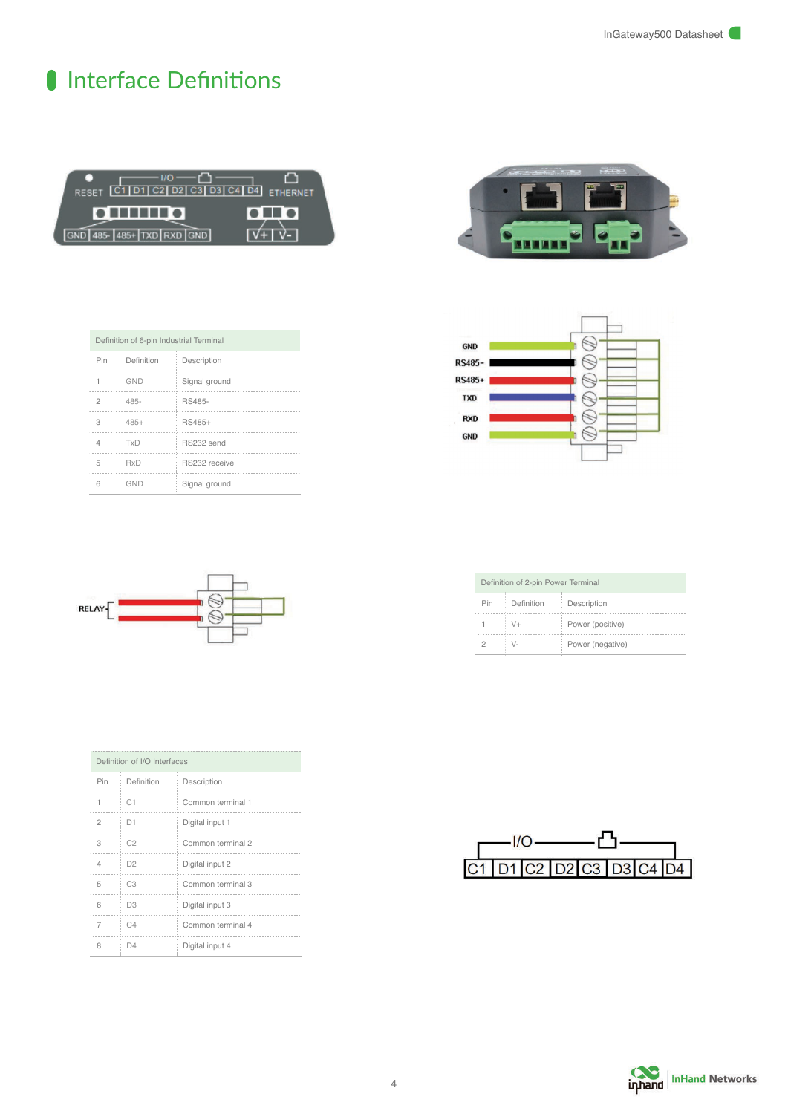### I Interface Definitions







|     | Definition of 2-pin Power Terminal |                  |  |  |
|-----|------------------------------------|------------------|--|--|
| Pin | Definition                         | Description      |  |  |
|     | V+                                 | Power (positive) |  |  |
|     |                                    | Power (negative) |  |  |



| $C3$ D <sub>3</sub> $C4$ D <sub>4</sub> |  |  |
|-----------------------------------------|--|--|
|                                         |  |  |

|  | inhand InHand Networks |
|--|------------------------|

| Definition of 6-pin Industrial Terminal |            |               |  |
|-----------------------------------------|------------|---------------|--|
| Pin                                     | Definition | Description   |  |
|                                         | GND        | Signal ground |  |
| 2                                       | 485-       | RS485-        |  |
| З                                       | $485+$     | RS485+        |  |
| 4                                       | TxD        | RS232 send    |  |
| 5                                       | RxD        | RS232 receive |  |
| հ                                       | GND        | Signal ground |  |



| Definition of I/O Interfaces |                |                |                   |
|------------------------------|----------------|----------------|-------------------|
|                              | Pin            | Definition     | Description       |
|                              | 1              | C1             | Common terminal 1 |
|                              | $\mathfrak{p}$ | D1             | Digital input 1   |
|                              | 3              | C <sub>2</sub> | Common terminal 2 |
|                              | 4              | D <sub>2</sub> | Digital input 2   |
|                              | 5              | C <sub>3</sub> | Common terminal 3 |
|                              | 6              | D <sub>3</sub> | Digital input 3   |
|                              | 7              | C4             | Common terminal 4 |
|                              | 8              | D4             | Digital input 4   |